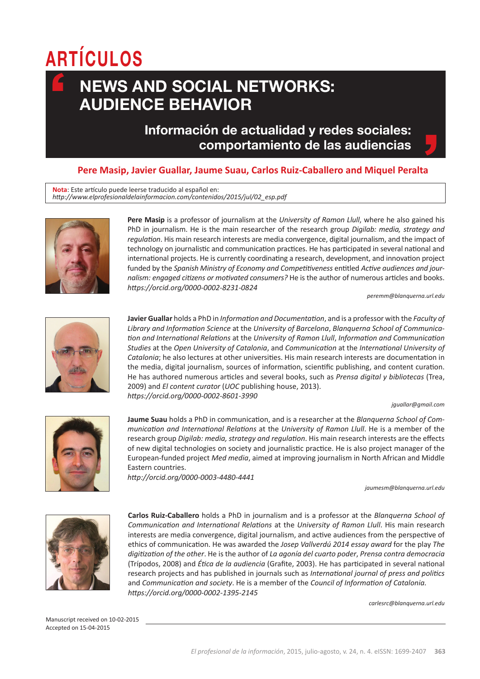# **ARTÍCULOS**

## **News and social networks: audience behavior**

### **Información de actualidad y redes sociales: comportamiento de las audiencias**

#### **Pere Masip, Javier Guallar, Jaume Suau, Carlos Ruiz-Caballero and Miquel Peralta**

**Nota**: Este artículo puede leerse traducido al español en: *http://www.elprofesionaldelainformacion.com/contenidos/2015/jul/02\_esp.pdf*



**Pere Masip** is a professor of journalism at the *University of Ramon Llull*, where he also gained his PhD in journalism. He is the main researcher of the research group *Digilab: media, strategy and regulation*. His main research interests are media convergence, digital journalism, and the impact of technology on journalistic and communication practices. He has participated in several national and international projects. He is currently coordinating a research, development, and innovation project funded by the *Spanish Ministry of Economy and Competitiveness* entitled *Active audiences and journalism: engaged citizens or motivated consumers?* He is the author of numerous articles and books. *https://orcid.org/0000-0002-8231-0824*

*peremm@blanquerna.url.edu*



**Javier Guallar** holds a PhD in *Information and Documentation*, and is a professor with the *Faculty of Library and Information Science* at the *University of Barcelona*, *Blanquerna School of Communication and International Relations* at the *University of Ramon Llull*, *Information and Communication Studies* at the *Open University of Catalonia*, and *Communication* at the *International University of Catalonia*; he also lectures at other universities. His main research interests are documentation in the media, digital journalism, sources of information, scientific publishing, and content curation. He has authored numerous articles and several books, such as *Prensa digital y bibliotecas* (Trea, 2009) and *El content curator* (*UOC* publishing house, 2013). *https://orcid.org/0000-0002-8601-3990* 

#### *jguallar@gmail.com*



**Jaume Suau** holds a PhD in communication, and is a researcher at the *Blanquerna School of Communication and International Relations* at the *University of Ramon Llull*. He is a member of the research group *Digilab: media, strategy and regulation*. His main research interests are the effects of new digital technologies on society and journalistic practice. He is also project manager of the European-funded project *Med media*, aimed at improving journalism in North African and Middle Eastern countries.

*http://orcid.org/0000-0003-4480-4441*

*jaumesm@blanquerna.url.edu*



**Carlos Ruiz-Caballero** holds a PhD in journalism and is a professor at the *Blanquerna School of Communication and International Relations* at the *University of Ramon Llull*. His main research interests are media convergence, digital journalism, and active audiences from the perspective of ethics of communication. He was awarded the *Josep Vallverdú 2014 essay award* for the play *The digitization of the other*. He is the author of *La agonía del cuarto poder*, *Prensa contra democracia* (Trípodos, 2008) and *Ética de la audiencia* (Grafite, 2003). He has participated in several national research projects and has published in journals such as *International journal of press and politics* and *Communication and society*. He is a member of the *Council of Information of Catalonia. https://orcid.org/0000-0002-1395-2145*

*carlesrc@blanquerna.url.edu*

Manuscript received on 10-02-2015 Accepted on 15-04-2015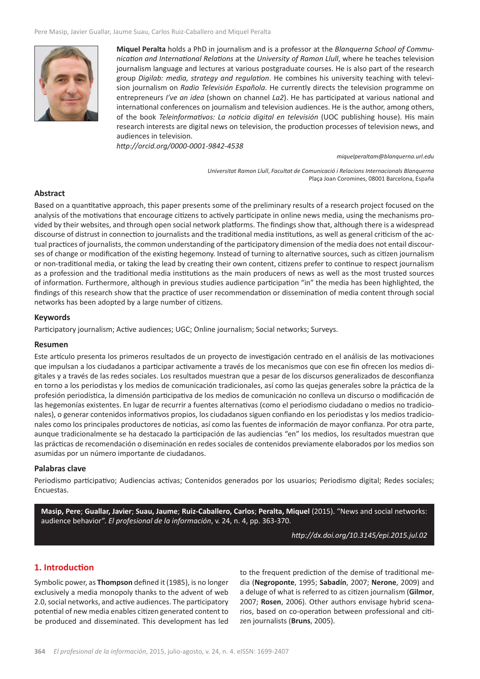

**Miquel Peralta** holds a PhD in journalism and is a professor at the *Blanquerna School of Communication and International Relations* at the *University of Ramon Llull*, where he teaches television journalism language and lectures at various postgraduate courses. He is also part of the research group *Digilab: media, strategy and regulation*. He combines his university teaching with television journalism on *Radio Televisión Española*. He currently directs the television programme on entrepreneurs *I've an idea* (shown on channel *La2*). He has participated at various national and international conferences on journalism and television audiences. He is the author, among others, of the book *Teleinformativos: La noticia digital en televisión* (UOC publishing house). His main research interests are digital news on television, the production processes of television news, and audiences in television.

*http://orcid.org/0000-0001-9842-4538*

*miquelperaltam@blanquerna.url.edu*

*Universitat Ramon Llull*, *Facultat de Comunicació i Relacions Internacionals Blanquerna*  Plaça Joan Coromines, 08001 Barcelona, España

#### **Abstract**

Based on a quantitative approach, this paper presents some of the preliminary results of a research project focused on the analysis of the motivations that encourage citizens to actively participate in online news media, using the mechanisms provided by their websites, and through open social network platforms. The findings show that, although there is a widespread discourse of distrust in connection to journalists and the traditional media institutions, as well as general criticism of the actual practices of journalists, the common understanding of the participatory dimension of the media does not entail discourses of change or modification of the existing hegemony. Instead of turning to alternative sources, such as citizen journalism or non-traditional media, or taking the lead by creating their own content, citizens prefer to continue to respect journalism as a profession and the traditional media institutions as the main producers of news as well as the most trusted sources of information. Furthermore, although in previous studies audience participation "in" the media has been highlighted, the findings of this research show that the practice of user recommendation or dissemination of media content through social networks has been adopted by a large number of citizens.

#### **Keywords**

Participatory journalism; Active audiences; UGC; Online journalism; Social networks; Surveys.

#### **Resumen**

Este artículo presenta los primeros resultados de un proyecto de investigación centrado en el análisis de las motivaciones que impulsan a los ciudadanos a participar activamente a través de los mecanismos que con ese fin ofrecen los medios digitales y a través de las redes sociales. Los resultados muestran que a pesar de los discursos generalizados de desconfianza en torno a los periodistas y los medios de comunicación tradicionales, así como las quejas generales sobre la práctica de la profesión periodística, la dimensión participativa de los medios de comunicación no conlleva un discurso o modificación de las hegemonías existentes. En lugar de recurrir a fuentes alternativas (como el periodismo ciudadano o medios no tradicionales), o generar contenidos informativos propios, los ciudadanos siguen confiando en los periodistas y los medios tradicionales como los principales productores de noticias, así como las fuentes de información de mayor confianza. Por otra parte, aunque tradicionalmente se ha destacado la participación de las audiencias "en" los medios, los resultados muestran que las prácticas de recomendación o diseminación en redes sociales de contenidos previamente elaborados por los medios son asumidas por un número importante de ciudadanos.

#### **Palabras clave**

Periodismo participativo; Audiencias activas; Contenidos generados por los usuarios; Periodismo digital; Redes sociales; Encuestas.

**Masip, Pere**; **Guallar, Javier**; **Suau, Jaume**; **Ruiz-Caballero, Carlos**; **Peralta, Miquel** (2015). "News and social networks: audience behavior". *El profesional de la información*, v. 24, n. 4, pp. 363-370.

*http://dx.doi.org/10.3145/epi.2015.jul.02*

#### **1. Introduction**

Symbolic power, as **Thompson** defined it (1985), is no longer exclusively a media monopoly thanks to the advent of web 2.0, social networks, and active audiences. The participatory potential of new media enables citizen generated content to be produced and disseminated. This development has led

to the frequent prediction of the demise of traditional media (**Negroponte**, 1995; **Sabadín**, 2007; **Nerone**, 2009) and a deluge of what is referred to as citizen journalism (**Gilmor**, 2007; **Rosen**, 2006). Other authors envisage hybrid scenarios, based on co-operation between professional and citizen journalists (**Bruns**, 2005).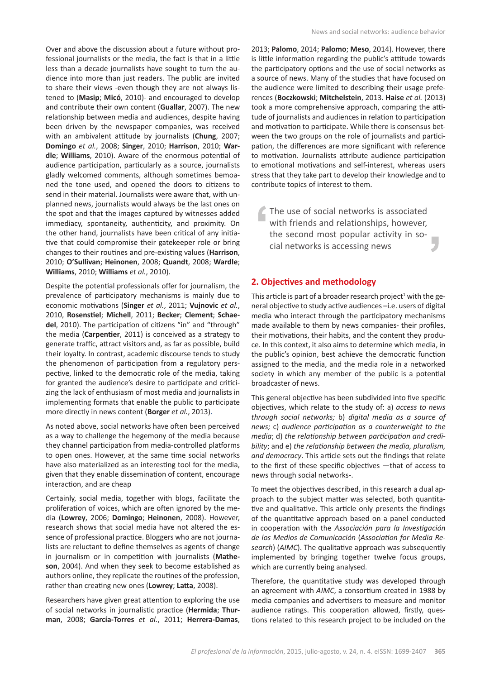Over and above the discussion about a future without professional journalists or the media, the fact is that in a little less than a decade journalists have sought to turn the audience into more than just readers. The public are invited to share their views -even though they are not always listened to (**Masip**; **Micó**, 2010)- and encouraged to develop and contribute their own content (**Guallar**, 2007). The new relationship between media and audiences, despite having been driven by the newspaper companies, was received with an ambivalent attitude by journalists (**Chung**, 2007; **Domingo** *et al.*, 2008; **Singer**, 2010; **Harrison**, 2010; **Wardle**; **Williams**, 2010). Aware of the enormous potential of audience participation, particularly as a source, journalists gladly welcomed comments, although sometimes bemoaned the tone used, and opened the doors to citizens to send in their material. Journalists were aware that, with unplanned news, journalists would always be the last ones on the spot and that the images captured by witnesses added immediacy, spontaneity, authenticity, and proximity. On the other hand, journalists have been critical of any initiative that could compromise their gatekeeper role or bring changes to their routines and pre-existing values (**Harrison**, 2010; **O'Sullivan**; **Heinonen**, 2008; **Quandt**, 2008; **Wardle**; **Williams**, 2010; **Williams** *et al.*, 2010).

Despite the potential professionals offer for journalism, the prevalence of participatory mechanisms is mainly due to economic motivations (**Singer** *et al.*, 2011; **Vujnovic** *et al.*, 2010, **Rosenstiel**; **Michell**, 2011; **Becker**; **Clement**; **Schaedel**, 2010). The participation of citizens "in" and "through" the media (**Carpentier**, 2011) is conceived as a strategy to generate traffic, attract visitors and, as far as possible, build their loyalty. In contrast, academic discourse tends to study the phenomenon of participation from a regulatory perspective, linked to the democratic role of the media, taking for granted the audience's desire to participate and criticizing the lack of enthusiasm of most media and journalists in implementing formats that enable the public to participate more directly in news content (**Borger** *et al.*, 2013).

As noted above, social networks have often been perceived as a way to challenge the hegemony of the media because they channel participation from media-controlled platforms to open ones. However, at the same time social networks have also materialized as an interesting tool for the media, given that they enable dissemination of content, encourage interaction, and are cheap

Certainly, social media, together with blogs, facilitate the proliferation of voices, which are often ignored by the media (**Lowrey**, 2006; **Domingo**; **Heinonen**, 2008). However, research shows that social media have not altered the essence of professional practice. Bloggers who are not journalists are reluctant to define themselves as agents of change in journalism or in competition with journalists (**Matheson**, 2004). And when they seek to become established as authors online, they replicate the routines of the profession, rather than creating new ones (**Lowrey**; **Latta**, 2008).

Researchers have given great attention to exploring the use of social networks in journalistic practice (**Hermida**; **Thurman**, 2008; **García-Torres** *et al.*, 2011; **Herrera-Damas**, 2013; **Palomo**, 2014; **Palomo**; **Meso**, 2014). However, there is little information regarding the public's attitude towards the participatory options and the use of social networks as a source of news. Many of the studies that have focused on the audience were limited to describing their usage preferences (**Boczkowski**; **Mitchelstein**, 2013. **Haise** *et al.* (2013) took a more comprehensive approach, comparing the attitude of journalists and audiences in relation to participation and motivation to participate. While there is consensus between the two groups on the role of journalists and participation, the differences are more significant with reference to motivation. Journalists attribute audience participation to emotional motivations and self-interest, whereas users stress that they take part to develop their knowledge and to contribute topics of interest to them.

The use of social networks is associated with friends and relationships, however, the second most popular activity in social networks is accessing news

#### **2. Objectives and methodology**

This article is part of a broader research project<sup>1</sup> with the general objective to study active audiences –i.e. users of digital media who interact through the participatory mechanisms made available to them by news companies- their profiles, their motivations, their habits, and the content they produce. In this context, it also aims to determine which media, in the public's opinion, best achieve the democratic function assigned to the media, and the media role in a networked society in which any member of the public is a potential broadcaster of news.

This general objective has been subdivided into five specific objectives, which relate to the study of: a) *access to news through social networks;* b) *digital media as a source of news;* c) *audience participation as a counterweight to the media*; d) *the relationship between participation and credibility*; and e) *the relationship between the media, pluralism, and democracy*. This article sets out the findings that relate to the first of these specific objectives —that of access to news through social networks-.

To meet the objectives described, in this research a dual approach to the subject matter was selected, both quantitative and qualitative. This article only presents the findings of the quantitative approach based on a panel conducted in cooperation with the *Associación para la Investigación de los Medios de Comunicación* (*Association for Media Research*) (*AIMC*). The qualitative approach was subsequently implemented by bringing together twelve focus groups, which are currently being analysed.

Therefore, the quantitative study was developed through an agreement with *AIMC*, a consortium created in 1988 by media companies and advertisers to measure and monitor audience ratings. This cooperation allowed, firstly, questions related to this research project to be included on the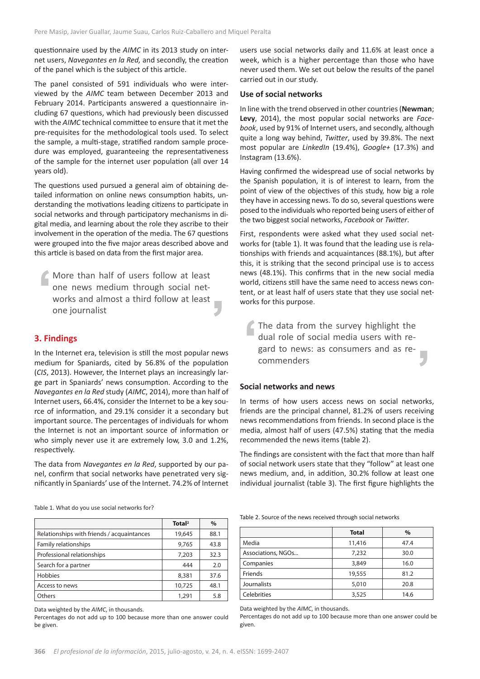questionnaire used by the *AIMC* in its 2013 study on internet users, *Navegantes en la Red,* and secondly, the creation of the panel which is the subject of this article.

The panel consisted of 591 individuals who were interviewed by the *AIMC* team between December 2013 and February 2014. Participants answered a questionnaire including 67 questions, which had previously been discussed with the *AIMC* technical committee to ensure that it met the pre-requisites for the methodological tools used. To select the sample, a multi-stage, stratified random sample procedure was employed, guaranteeing the representativeness of the sample for the internet user population (all over 14 years old).

The questions used pursued a general aim of obtaining detailed information on online news consumption habits, understanding the motivations leading citizens to participate in social networks and through participatory mechanisms in digital media, and learning about the role they ascribe to their involvement in the operation of the media. The 67 questions were grouped into the five major areas described above and this article is based on data from the first major area.

More than half of users follow at least one news medium through social networks and almost a third follow at least one journalist

#### **3. Findings**

In the Internet era, television is still the most popular news medium for Spaniards, cited by 56.8% of the population (*CIS*, 2013). However, the Internet plays an increasingly large part in Spaniards' news consumption. According to the *Navegantes en la Red* study (*AIMC*, 2014), more than half of Internet users, 66.4%, consider the Internet to be a key source of information, and 29.1% consider it a secondary but important source. The percentages of individuals for whom the Internet is not an important source of information or who simply never use it are extremely low, 3.0 and 1.2%, respectively.

The data from *Navegantes en la Red*, supported by our panel, confirm that social networks have penetrated very significantly in Spaniards' use of the Internet. 74.2% of Internet

**Total2 %** Table 1. What do you use social networks for?

Relationships with friends / acquaintances | 19,645 88.1 Family relationships  $\begin{array}{|c|c|c|c|c|c|} \hline \end{array}$  9,765 43.8 Professional relationships  $\vert$  7,203 32.3 Search for a partner and the search for a partner and the search for a partner and the search for a partner of  $\sim$  444 and 2.0 Hobbies 8.381 37.6 Access to news 10,725 48.1 Others 1,291 5.8

Data weighted by the *AIMC*, in thousands.

Percentages do not add up to 100 because more than one answer could be given.

users use social networks daily and 11.6% at least once a week, which is a higher percentage than those who have never used them. We set out below the results of the panel carried out in our study.

#### **Use of social networks**

In line with the trend observed in other countries (**Newman**; **Levy**, 2014), the most popular social networks are *Facebook*, used by 91% of Internet users, and secondly, although quite a long way behind, *Twitter*, used by 39.8%. The next most popular are *LinkedIn* (19.4%), *Google+* (17.3%) and Instagram (13.6%).

Having confirmed the widespread use of social networks by the Spanish population, it is of interest to learn, from the point of view of the objectives of this study, how big a role they have in accessing news. To do so, several questions were posed to the individuals who reported being users of either of the two biggest social networks, *Facebook* or *Twitter*.

First, respondents were asked what they used social networks for (table 1). It was found that the leading use is relationships with friends and acquaintances (88.1%), but after this, it is striking that the second principal use is to access news (48.1%). This confirms that in the new social media world, citizens still have the same need to access news content, or at least half of users state that they use social networks for this purpose.

The data from the survey highlight the dual role of social media users with regard to news: as consumers and as recommenders

#### **Social networks and news**

In terms of how users access news on social networks, friends are the principal channel, 81.2% of users receiving news recommendations from friends. In second place is the media, almost half of users (47.5%) stating that the media recommended the news items (table 2).

The findings are consistent with the fact that more than half of social network users state that they "follow" at least one news medium, and, in addition, 30.2% follow at least one individual journalist (table 3). The first figure highlights the

Table 2. Source of the news received through social networks

|                    | <b>Total</b> | $\%$ |
|--------------------|--------------|------|
| Media              | 11,416       | 47.4 |
| Associations, NGOs | 7,232        | 30.0 |
| Companies          | 3,849        | 16.0 |
| Friends            | 19,555       | 81.2 |
| Journalists        | 5,010        | 20.8 |
| Celebrities        | 3,525        | 14.6 |

Data weighted by the *AIMC*, in thousands.

Percentages do not add up to 100 because more than one answer could be given.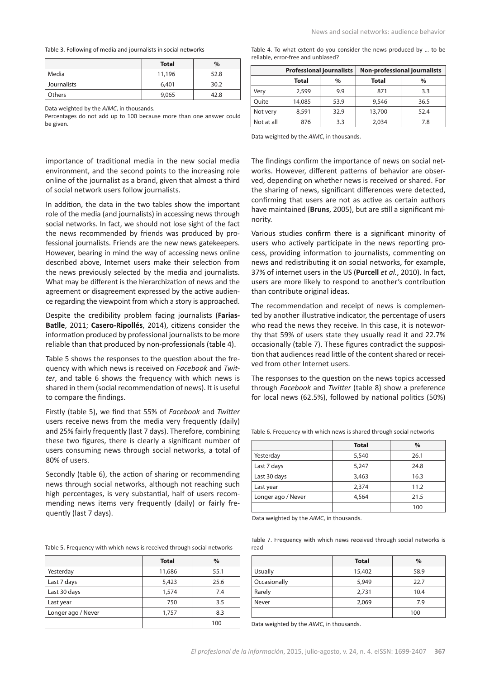Table 3. Following of media and journalists in social networks

|             | Total  | $\%$ |
|-------------|--------|------|
| Media       | 11,196 | 52.8 |
| Journalists | 6,401  | 30.2 |
| Others      | 9,065  | 42.8 |

Data weighted by the *AIMC*, in thousands.

Percentages do not add up to 100 because more than one answer could be given.

importance of traditional media in the new social media environment, and the second points to the increasing role online of the journalist as a brand, given that almost a third of social network users follow journalists.

In addition, the data in the two tables show the important role of the media (and journalists) in accessing news through social networks. In fact, we should not lose sight of the fact the news recommended by friends was produced by professional journalists. Friends are the new news gatekeepers. However, bearing in mind the way of accessing news online described above, Internet users make their selection from the news previously selected by the media and journalists. What may be different is the hierarchization of news and the agreement or disagreement expressed by the active audience regarding the viewpoint from which a story is approached.

Despite the credibility problem facing journalists (**Farias-Batlle**, 2011; **Casero-Ripollés**, 2014), citizens consider the information produced by professional journalists to be more reliable than that produced by non-professionals (table 4).

Table 5 shows the responses to the question about the frequency with which news is received on *Facebook* and *Twitter*, and table 6 shows the frequency with which news is shared in them (social recommendation of news). It is useful to compare the findings.

Firstly (table 5), we find that 55% of *Facebook* and *Twitter* users receive news from the media very frequently (daily) and 25% fairly frequently (last 7 days). Therefore, combining these two figures, there is clearly a significant number of users consuming news through social networks, a total of 80% of users.

Secondly (table 6), the action of sharing or recommending news through social networks, although not reaching such high percentages, is very substantial, half of users recommending news items very frequently (daily) or fairly frequently (last 7 days).

Table 5. Frequency with which news is received through social networks

|                    | <b>Total</b> | $\%$ |
|--------------------|--------------|------|
| Yesterday          | 11,686       | 55.1 |
| Last 7 days        | 5,423        | 25.6 |
| Last 30 days       | 1,574        | 7.4  |
| Last year          | 750          | 3.5  |
| Longer ago / Never | 1,757        | 8.3  |
|                    |              | 100  |

Table 4. To what extent do you consider the news produced by … to be reliable, error-free and unbiased?

|            | <b>Professional journalists</b> |      | <b>Non-professional journalists</b> |      |
|------------|---------------------------------|------|-------------------------------------|------|
|            | Total                           | $\%$ | <b>Total</b>                        | $\%$ |
| Very       | 2,599                           | 9.9  | 871                                 | 3.3  |
| Ouite      | 14,085                          | 53.9 | 9,546                               | 36.5 |
| Not very   | 8,591                           | 32.9 | 13,700                              | 52.4 |
| Not at all | 876                             | 3.3  | 2.034                               | 7.8  |

Data weighted by the *AIMC*, in thousands.

The findings confirm the importance of news on social networks. However, different patterns of behavior are observed, depending on whether news is received or shared. For the sharing of news, significant differences were detected, confirming that users are not as active as certain authors have maintained (**Bruns**, 2005), but are still a significant minority.

Various studies confirm there is a significant minority of users who actively participate in the news reporting process, providing information to journalists, commenting on news and redistributing it on social networks, for example, 37% of internet users in the US (**Purcell** *et al.*, 2010). In fact, users are more likely to respond to another's contribution than contribute original ideas.

The recommendation and receipt of news is complemented by another illustrative indicator, the percentage of users who read the news they receive. In this case, it is noteworthy that 59% of users state they usually read it and 22.7% occasionally (table 7). These figures contradict the supposition that audiences read little of the content shared or received from other Internet users.

The responses to the question on the news topics accessed through *Facebook* and *Twitter* (table 8) show a preference for local news (62.5%), followed by national politics (50%)

|                    | <b>Total</b> | $\%$ |
|--------------------|--------------|------|
| Yesterday          | 5,540        | 26.1 |
| Last 7 days        | 5,247        | 24.8 |
| Last 30 days       | 3,463        | 16.3 |
| Last year          | 2,374        | 11.2 |
| Longer ago / Never | 4,564        | 21.5 |
|                    |              | 100  |

Table 6. Frequency with which news is shared through social networks

Data weighted by the *AIMC*, in thousands.

Table 7. Frequency with which news received through social networks is read

|                | <b>Total</b> | $\%$ |
|----------------|--------------|------|
| <b>Usually</b> | 15,402       | 58.9 |
| Occasionally   | 5,949        | 22.7 |
| Rarely         | 2,731        | 10.4 |
| Never          | 2,069        | 7.9  |
|                |              | 100  |

Data weighted by the *AIMC*, in thousands.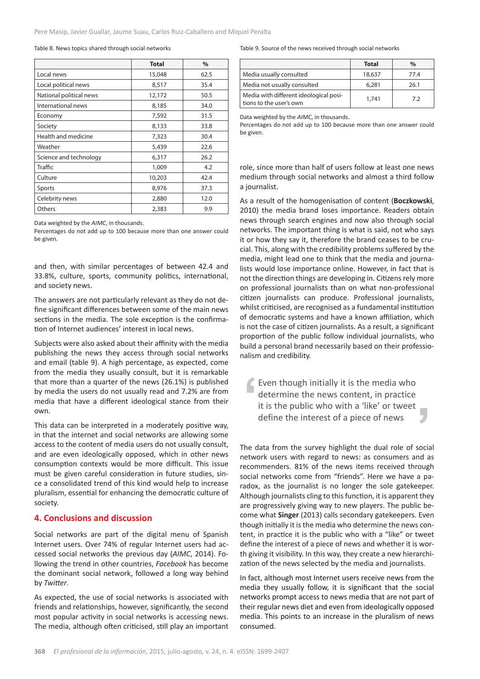#### Table 8. News topics shared through social networks

|                         | <b>Total</b> | $\%$ |
|-------------------------|--------------|------|
| Local news              | 15,048       | 62.5 |
| Local political news    | 8,517        | 35.4 |
| National political news | 12,172       | 50.5 |
| International news      | 8,185        | 34.0 |
| Economy                 | 7,592        | 31.5 |
| Society                 | 8,133        | 33.8 |
| Health and medicine     | 7,323        | 30.4 |
| Weather                 | 5,439        | 22.6 |
| Science and technology  | 6,317        | 26.2 |
| Traffic                 | 1,009        | 4.2  |
| Culture                 | 10,203       | 42.4 |
| Sports                  | 8,976        | 37.3 |
| Celebrity news          | 2,880        | 12.0 |
| Others                  | 2,383        | 9.9  |

Data weighted by the *AIMC*, in thousands.

Percentages do not add up to 100 because more than one answer could be given.

and then, with similar percentages of between 42.4 and 33.8%, culture, sports, community politics, international, and society news.

The answers are not particularly relevant as they do not define significant differences between some of the main news sections in the media. The sole exception is the confirmation of Internet audiences' interest in local news.

Subjects were also asked about their affinity with the media publishing the news they access through social networks and email (table 9). A high percentage, as expected, come from the media they usually consult, but it is remarkable that more than a quarter of the news (26.1%) is published by media the users do not usually read and 7.2% are from media that have a different ideological stance from their own.

This data can be interpreted in a moderately positive way, in that the internet and social networks are allowing some access to the content of media users do not usually consult, and are even ideologically opposed, which in other news consumption contexts would be more difficult. This issue must be given careful consideration in future studies, since a consolidated trend of this kind would help to increase pluralism, essential for enhancing the democratic culture of society.

#### **4. Conclusions and discussion**

Social networks are part of the digital menu of Spanish Internet users. Over 74% of regular Internet users had accessed social networks the previous day (*AIMC*, 2014). Following the trend in other countries, *Facebook* has become the dominant social network, followed a long way behind by *Twitter*.

As expected, the use of social networks is associated with friends and relationships, however, significantly, the second most popular activity in social networks is accessing news. The media, although often criticised, still play an important

#### Table 9. Source of the news received through social networks

|                                                                   | Total  | $\%$ |
|-------------------------------------------------------------------|--------|------|
| Media usually consulted                                           | 18,637 | 77.4 |
| Media not usually consulted                                       | 6,281  | 26.1 |
| Media with different ideological posi-<br>tions to the user's own | 1,741  | 7.2  |

Data weighted by the *AIMC*, in thousands.

Percentages do not add up to 100 because more than one answer could be given.

role, since more than half of users follow at least one news medium through social networks and almost a third follow a journalist.

As a result of the homogenisation of content (**Boczkowski**, 2010) the media brand loses importance. Readers obtain news through search engines and now also through social networks. The important thing is what is said, not who says it or how they say it, therefore the brand ceases to be crucial. This, along with the credibility problems suffered by the media, might lead one to think that the media and journalists would lose importance online. However, in fact that is not the direction things are developing in. Citizens rely more on professional journalists than on what non-professional citizen journalists can produce. Professional journalists, whilst criticised, are recognised as a fundamental institution of democratic systems and have a known affiliation, which is not the case of citizen journalists. As a result, a significant proportion of the public follow individual journalists, who build a personal brand necessarily based on their professionalism and credibility.

Even though initially it is the media who determine the news content, in practice it is the public who with a 'like' or tweet define the interest of a piece of news

The data from the survey highlight the dual role of social network users with regard to news: as consumers and as recommenders. 81% of the news items received through social networks come from "friends". Here we have a paradox, as the journalist is no longer the sole gatekeeper. Although journalists cling to this function, it is apparent they are progressively giving way to new players. The public become what **Singer** (2013) calls secondary gatekeepers. Even though initially it is the media who determine the news content, in practice it is the public who with a "like" or tweet define the interest of a piece of news and whether it is worth giving it visibility. In this way, they create a new hierarchization of the news selected by the media and journalists.

In fact, although most Internet users receive news from the media they usually follow, it is significant that the social networks prompt access to news media that are not part of their regular news diet and even from ideologically opposed media. This points to an increase in the pluralism of news consumed.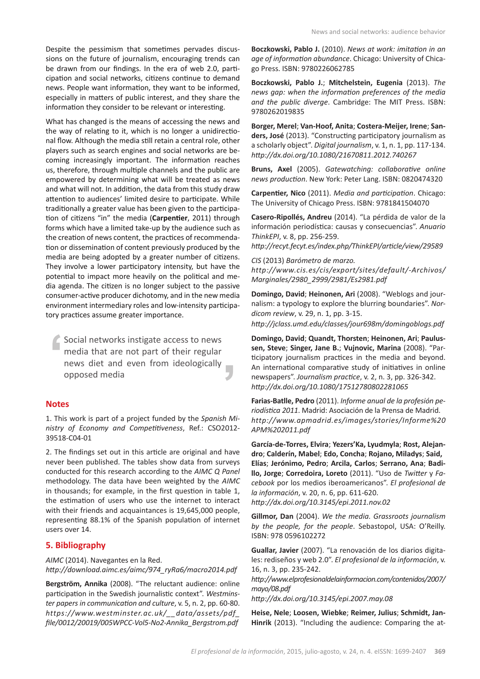Despite the pessimism that sometimes pervades discussions on the future of journalism, encouraging trends can be drawn from our findings. In the era of web 2.0, participation and social networks, citizens continue to demand news. People want information, they want to be informed, especially in matters of public interest, and they share the information they consider to be relevant or interesting.

What has changed is the means of accessing the news and the way of relating to it, which is no longer a unidirectional flow. Although the media still retain a central role, other players such as search engines and social networks are becoming increasingly important. The information reaches us, therefore, through multiple channels and the public are empowered by determining what will be treated as news and what will not. In addition, the data from this study draw attention to audiences' limited desire to participate. While traditionally a greater value has been given to the participation of citizens "in" the media (**Carpentier**, 2011) through forms which have a limited take-up by the audience such as the creation of news content, the practices of recommendation or dissemination of content previously produced by the media are being adopted by a greater number of citizens. They involve a lower participatory intensity, but have the potential to impact more heavily on the political and media agenda. The citizen is no longer subject to the passive consumer-active producer dichotomy, and in the new media environment intermediary roles and low-intensity participatory practices assume greater importance.

Social networks instigate access to news media that are not part of their regular news diet and even from ideologically opposed media

#### **Notes**

1. This work is part of a project funded by the *Spanish Ministry of Economy and Competitiveness*, Ref.: CSO2012- 39518-C04-01

2. The findings set out in this article are original and have never been published. The tables show data from surveys conducted for this research according to the *AIMC Q Panel* methodology. The data have been weighted by the *AIMC* in thousands; for example, in the first question in table 1, the estimation of users who use the internet to interact with their friends and acquaintances is 19,645,000 people, representing 88.1% of the Spanish population of internet users over 14.

#### **5. Bibliography**

*AIMC* (2014). Navegantes en la Red. *http://download.aimc.es/aimc/974\_ryRa6/macro2014.pdf*

**Bergström, Annika** (2008). "The reluctant audience: online participation in the Swedish journalistic context". *Westminster papers in communication and culture*, v. 5, n. 2, pp. 60-80. *[https://www.westminster.ac.uk/\\_\\_data/assets/pdf\\_](https://www.westminster.ac.uk/__data/assets/pdf_file/0012/20019/005WPCC-Vol5-No2-Annika_Bergstrom.pdf) [file/0012/20019/005WPCC-Vol5-No2-Annika\\_Bergstrom.pdf](https://www.westminster.ac.uk/__data/assets/pdf_file/0012/20019/005WPCC-Vol5-No2-Annika_Bergstrom.pdf)* **Boczkowski, Pablo J.** (2010). *News at work: imitation in an age of information abundance*. Chicago: University of Chicago Press. ISBN: 9780226062785

**Boczkowski, Pablo J.**; **Mitchelstein, Eugenia** (2013). *The news gap: when the information preferences of the media and the public diverge*. Cambridge: The MIT Press. ISBN: 9780262019835

**Borger, Merel**; **Van-Hoof, Anita**; **Costera-Meijer, Irene**; **Sanders, José** (2013). "Constructing participatory journalism as a scholarly object". *Digital journalism*, v. 1, n. 1, pp. 117-134. *http://dx.doi.org/10.1080/21670811.2012.740267*

**Bruns, Axel** (2005). *Gatewatching: collaborative online news production*. New York: Peter Lang. ISBN: 0820474320

**Carpentier, Nico** (2011). *Media and participation*. Chicago: The University of Chicago Press. ISBN: 9781841504070

**Casero-Ripollés, Andreu** (2014). "La pérdida de valor de la información periodística: causas y consecuencias". *Anuario ThinkEPI*, v. 8, pp. 256-259.

*<http://recyt.fecyt.es/index.php/ThinkEPI/article/view/29589>*

*CIS* (2013) *Barómetro de marzo. [http://www.cis.es/cis/export/sites/default/-Archivos/](http://www.cis.es/cis/export/sites/default/-Archivos/Marginales/2980_2999/2981/Es2981.pdf) [Marginales/2980\\_2999/2981/Es2981.pdf](http://www.cis.es/cis/export/sites/default/-Archivos/Marginales/2980_2999/2981/Es2981.pdf)*

**Domingo, David**; **Heinonen, Ari** (2008). "Weblogs and journalism: a typology to explore the blurring boundaries". *Nordicom review*, v. 29, n. 1, pp. 3-15.

*http://jclass.umd.edu/classes/jour698m/domingoblogs.pdf*

**Domingo, David**; **Quandt, Thorsten**; **Heinonen, Ari**; **Paulussen, Steve**; **Singer, Jane B.**; **Vujnovic, Marina** (2008). "Participatory journalism practices in the media and beyond. An international comparative study of initiatives in online newspapers". *Journalism practice*, v. 2, n. 3, pp. 326-342. *http://dx.doi.org/10.1080/17512780802281065*

**Farias-Batlle, Pedro** (2011). *Informe anual de la profesión periodística 2011*. Madrid: Asociación de la Prensa de Madrid. *[http://www.apmadrid.es/images/stories/Informe%20](http://www.apmadrid.es/images/stories/Informe%20APM%202011.pdf) [APM%202011.pdf](http://www.apmadrid.es/images/stories/Informe%20APM%202011.pdf)*

**García-de-Torres, Elvira**; **Yezers'Ka, Lyudmyla**; **Rost, Alejandro**; **Calderín, Mabel**; **Edo, Concha**; **Rojano, Miladys**; **Said, Elías**; **Jerónimo, Pedro**; **Arcila, Carlos**; **Serrano, Ana**; **Badillo, Jorge**; **Corredoira, Loreto** (2011). "Uso de *Twitter* y *Facebook* por los medios iberoamericanos". *El profesional de la información*, v. 20, n. 6, pp. 611-620. *http://dx.doi.org/10.3145/epi.2011.nov.02*

**Gillmor, Dan** (2004). *We the media. Grassroots journalism by the people, for the people*. Sebastopol, USA: O'Reilly. ISBN: 978 0596102272

**Guallar, Javier** (2007). "La renovación de los diarios digitales: rediseños y web 2.0". *El profesional de la información*, v. 16, n. 3, pp. 235-242.

*[http://www.elprofesionaldelainformacion.com/contenidos/2007/](http://www.elprofesionaldelainformacion.com/contenidos/2007/mayo/08.pdf) [mayo/08.pdf](http://www.elprofesionaldelainformacion.com/contenidos/2007/mayo/08.pdf) http://dx.doi.org/10.3145/epi.2007.may.08*

**Heise, Nele**; **Loosen, Wiebke**; **Reimer, Julius**; **Schmidt, Jan-Hinrik** (2013). "Including the audience: Comparing the at-